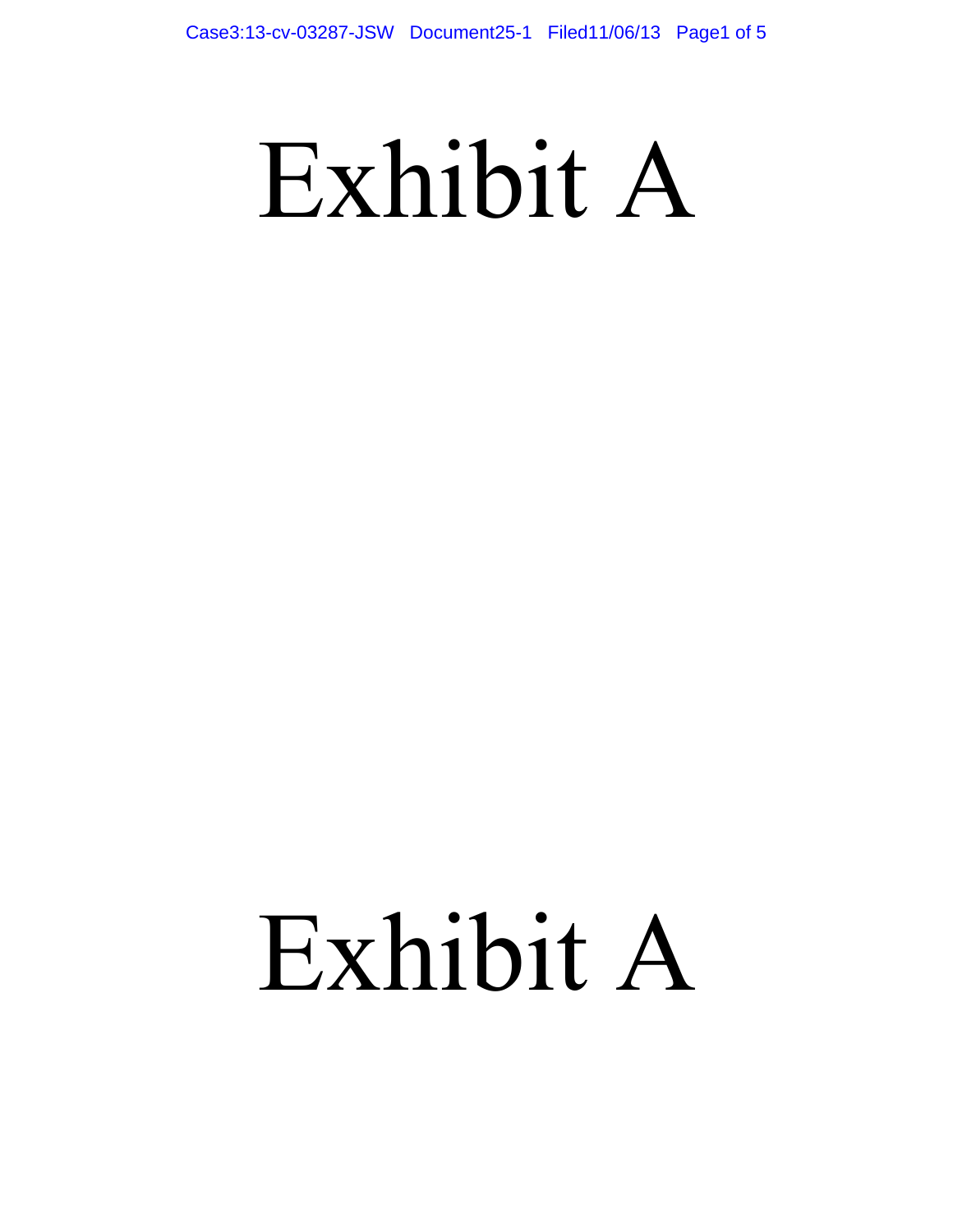# Exhibit A

# Exhibit A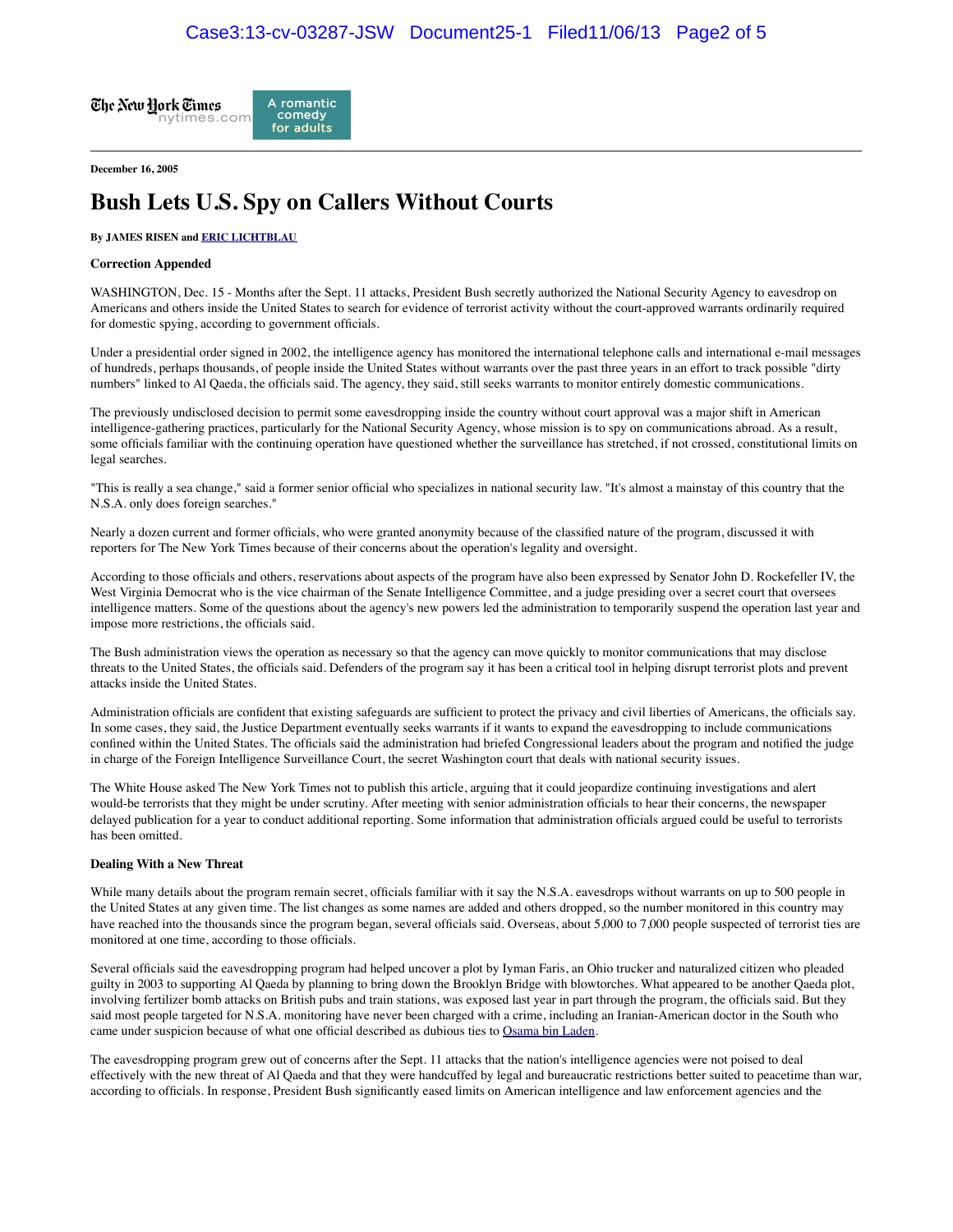

**December 16, 2005**

## **Bush Lets U.S. Spy on Callers Without Courts**

### **By JAMES RISEN and ERIC LICHTBLAU**

### **Correction Appended**

WASHINGTON, Dec. 15 - Months after the Sept. 11 attacks, President Bush secretly authorized the National Security Agency to eavesdrop on Americans and others inside the United States to search for evidence of terrorist activity without the court-approved warrants ordinarily required for domestic spying, according to government officials.

Under a presidential order signed in 2002, the intelligence agency has monitored the international telephone calls and international e-mail messages of hundreds, perhaps thousands, of people inside the United States without warrants over the past three years in an effort to track possible "dirty numbers" linked to Al Qaeda, the officials said. The agency, they said, still seeks warrants to monitor entirely domestic communications.

The previously undisclosed decision to permit some eavesdropping inside the country without court approval was a major shift in American intelligence-gathering practices, particularly for the National Security Agency, whose mission is to spy on communications abroad. As a result, some officials familiar with the continuing operation have questioned whether the surveillance has stretched, if not crossed, constitutional limits on legal searches.

"This is really a sea change," said a former senior official who specializes in national security law. "It's almost a mainstay of this country that the N.S.A. only does foreign searches."

Nearly a dozen current and former officials, who were granted anonymity because of the classified nature of the program, discussed it with reporters for The New York Times because of their concerns about the operation's legality and oversight.

According to those officials and others, reservations about aspects of the program have also been expressed by Senator John D. Rockefeller IV, the West Virginia Democrat who is the vice chairman of the Senate Intelligence Committee, and a judge presiding over a secret court that oversees intelligence matters. Some of the questions about the agency's new powers led the administration to temporarily suspend the operation last year and impose more restrictions, the officials said.

The Bush administration views the operation as necessary so that the agency can move quickly to monitor communications that may disclose threats to the United States, the officials said. Defenders of the program say it has been a critical tool in helping disrupt terrorist plots and prevent attacks inside the United States.

Administration officials are confident that existing safeguards are sufficient to protect the privacy and civil liberties of Americans, the officials say. In some cases, they said, the Justice Department eventually seeks warrants if it wants to expand the eavesdropping to include communications confined within the United States. The officials said the administration had briefed Congressional leaders about the program and notified the judge in charge of the Foreign Intelligence Surveillance Court, the secret Washington court that deals with national security issues.

The White House asked The New York Times not to publish this article, arguing that it could jeopardize continuing investigations and alert would-be terrorists that they might be under scrutiny. After meeting with senior administration officials to hear their concerns, the newspaper delayed publication for a year to conduct additional reporting. Some information that administration officials argued could be useful to terrorists has been omitted.

### **Dealing With a New Threat**

While many details about the program remain secret, officials familiar with it say the N.S.A. eavesdrops without warrants on up to 500 people in the United States at any given time. The list changes as some names are added and others dropped, so the number monitored in this country may have reached into the thousands since the program began, several officials said. Overseas, about 5,000 to 7,000 people suspected of terrorist ties are monitored at one time, according to those officials.

Several officials said the eavesdropping program had helped uncover a plot by Iyman Faris, an Ohio trucker and naturalized citizen who pleaded guilty in 2003 to supporting Al Qaeda by planning to bring down the Brooklyn Bridge with blowtorches. What appeared to be another Qaeda plot, involving fertilizer bomb attacks on British pubs and train stations, was exposed last year in part through the program, the officials said. But they said most people targeted for N.S.A. monitoring have never been charged with a crime, including an Iranian-American doctor in the South who came under suspicion because of what one official described as dubious ties to Osama bin Laden.

The eavesdropping program grew out of concerns after the Sept. 11 attacks that the nation's intelligence agencies were not poised to deal effectively with the new threat of Al Qaeda and that they were handcuffed by legal and bureaucratic restrictions better suited to peacetime than war, according to officials. In response, President Bush significantly eased limits on American intelligence and law enforcement agencies and the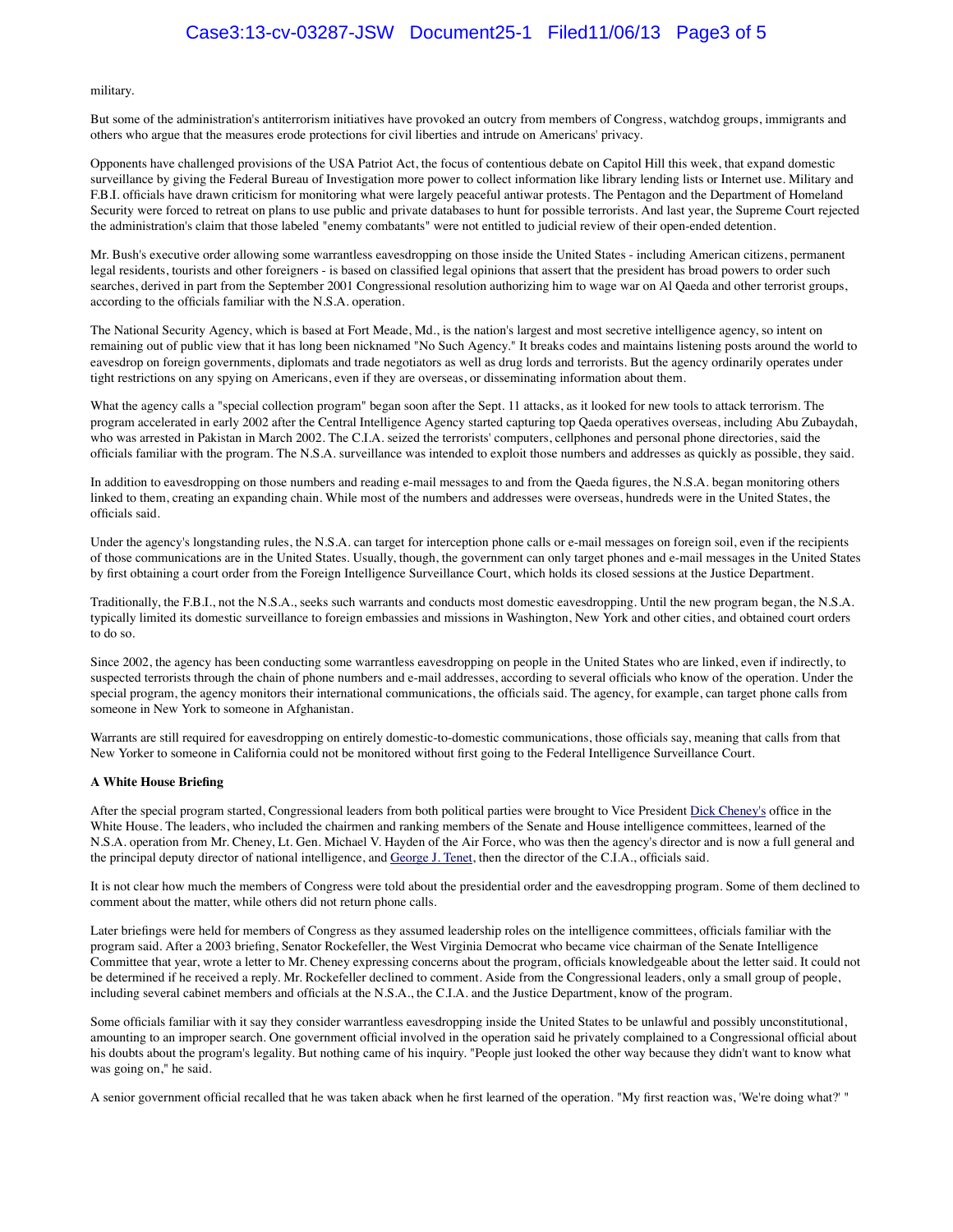military.

But some of the administration's antiterrorism initiatives have provoked an outcry from members of Congress, watchdog groups, immigrants and others who argue that the measures erode protections for civil liberties and intrude on Americans' privacy.

Opponents have challenged provisions of the USA Patriot Act, the focus of contentious debate on Capitol Hill this week, that expand domestic surveillance by giving the Federal Bureau of Investigation more power to collect information like library lending lists or Internet use. Military and F.B.I. officials have drawn criticism for monitoring what were largely peaceful antiwar protests. The Pentagon and the Department of Homeland Security were forced to retreat on plans to use public and private databases to hunt for possible terrorists. And last year, the Supreme Court rejected the administration's claim that those labeled "enemy combatants" were not entitled to judicial review of their open-ended detention.

Mr. Bush's executive order allowing some warrantless eavesdropping on those inside the United States - including American citizens, permanent legal residents, tourists and other foreigners - is based on classified legal opinions that assert that the president has broad powers to order such searches, derived in part from the September 2001 Congressional resolution authorizing him to wage war on Al Qaeda and other terrorist groups, according to the officials familiar with the N.S.A. operation.

The National Security Agency, which is based at Fort Meade, Md., is the nation's largest and most secretive intelligence agency, so intent on remaining out of public view that it has long been nicknamed "No Such Agency." It breaks codes and maintains listening posts around the world to eavesdrop on foreign governments, diplomats and trade negotiators as well as drug lords and terrorists. But the agency ordinarily operates under tight restrictions on any spying on Americans, even if they are overseas, or disseminating information about them.

What the agency calls a "special collection program" began soon after the Sept. 11 attacks, as it looked for new tools to attack terrorism. The program accelerated in early 2002 after the Central Intelligence Agency started capturing top Qaeda operatives overseas, including Abu Zubaydah, who was arrested in Pakistan in March 2002. The C.I.A. seized the terrorists' computers, cellphones and personal phone directories, said the officials familiar with the program. The N.S.A. surveillance was intended to exploit those numbers and addresses as quickly as possible, they said.

In addition to eavesdropping on those numbers and reading e-mail messages to and from the Qaeda figures, the N.S.A. began monitoring others linked to them, creating an expanding chain. While most of the numbers and addresses were overseas, hundreds were in the United States, the officials said.

Under the agency's longstanding rules, the N.S.A. can target for interception phone calls or e-mail messages on foreign soil, even if the recipients of those communications are in the United States. Usually, though, the government can only target phones and e-mail messages in the United States by first obtaining a court order from the Foreign Intelligence Surveillance Court, which holds its closed sessions at the Justice Department.

Traditionally, the F.B.I., not the N.S.A., seeks such warrants and conducts most domestic eavesdropping. Until the new program began, the N.S.A. typically limited its domestic surveillance to foreign embassies and missions in Washington, New York and other cities, and obtained court orders to do so.

Since 2002, the agency has been conducting some warrantless eavesdropping on people in the United States who are linked, even if indirectly, to suspected terrorists through the chain of phone numbers and e-mail addresses, according to several officials who know of the operation. Under the special program, the agency monitors their international communications, the officials said. The agency, for example, can target phone calls from someone in New York to someone in Afghanistan.

Warrants are still required for eavesdropping on entirely domestic-to-domestic communications, those officials say, meaning that calls from that New Yorker to someone in California could not be monitored without first going to the Federal Intelligence Surveillance Court.

### **A White House Briefing**

After the special program started, Congressional leaders from both political parties were brought to Vice President Dick Cheney's office in the White House. The leaders, who included the chairmen and ranking members of the Senate and House intelligence committees, learned of the N.S.A. operation from Mr. Cheney, Lt. Gen. Michael V. Hayden of the Air Force, who was then the agency's director and is now a full general and the principal deputy director of national intelligence, and George J. Tenet, then the director of the C.I.A., officials said.

It is not clear how much the members of Congress were told about the presidential order and the eavesdropping program. Some of them declined to comment about the matter, while others did not return phone calls.

Later briefings were held for members of Congress as they assumed leadership roles on the intelligence committees, officials familiar with the program said. After a 2003 briefing, Senator Rockefeller, the West Virginia Democrat who became vice chairman of the Senate Intelligence Committee that year, wrote a letter to Mr. Cheney expressing concerns about the program, officials knowledgeable about the letter said. It could not be determined if he received a reply. Mr. Rockefeller declined to comment. Aside from the Congressional leaders, only a small group of people, including several cabinet members and officials at the N.S.A., the C.I.A. and the Justice Department, know of the program.

Some officials familiar with it say they consider warrantless eavesdropping inside the United States to be unlawful and possibly unconstitutional, amounting to an improper search. One government official involved in the operation said he privately complained to a Congressional official about his doubts about the program's legality. But nothing came of his inquiry. "People just looked the other way because they didn't want to know what was going on," he said.

A senior government official recalled that he was taken aback when he first learned of the operation. "My first reaction was, 'We're doing what?' "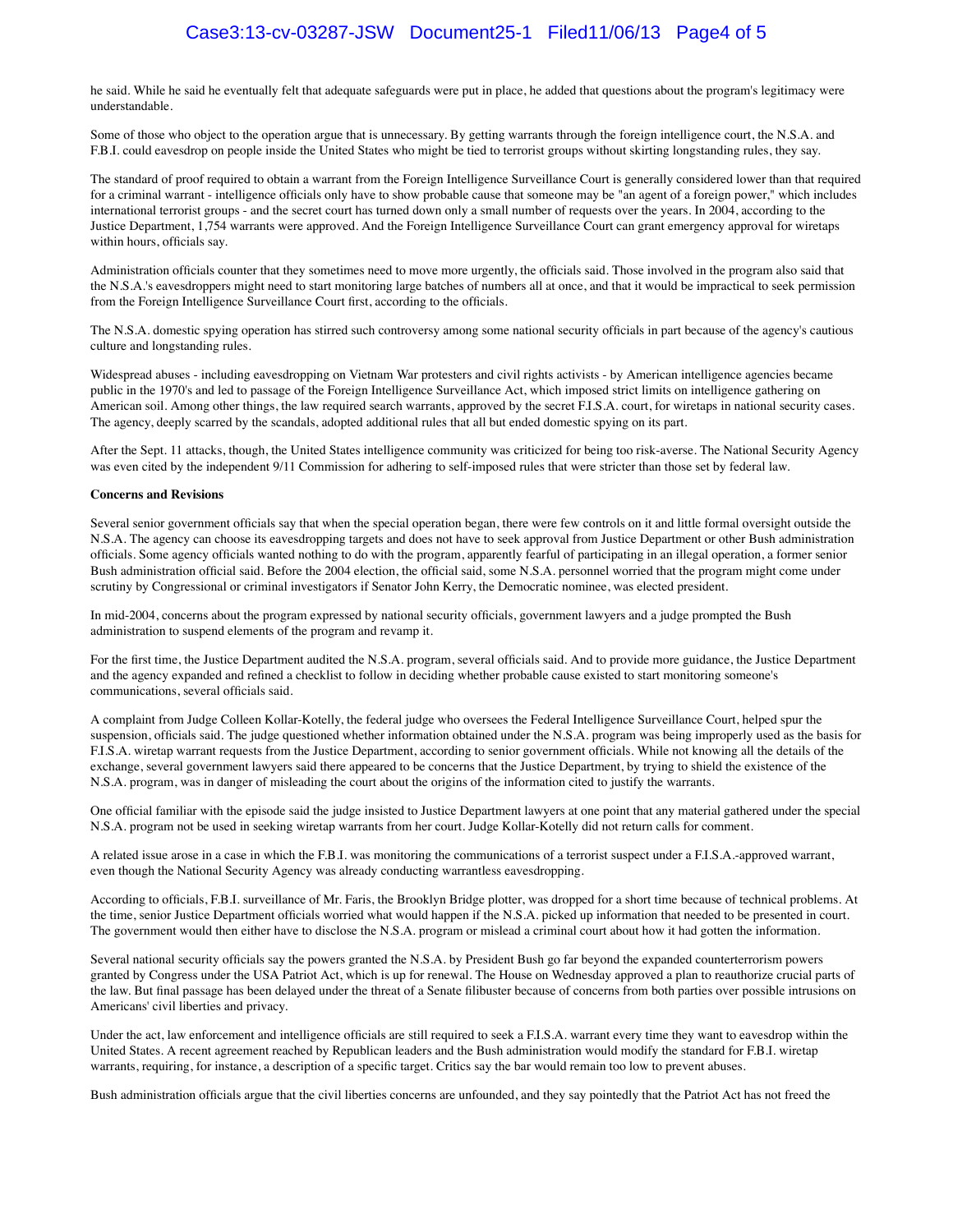he said. While he said he eventually felt that adequate safeguards were put in place, he added that questions about the program's legitimacy were understandable.

Some of those who object to the operation argue that is unnecessary. By getting warrants through the foreign intelligence court, the N.S.A. and F.B.I. could eavesdrop on people inside the United States who might be tied to terrorist groups without skirting longstanding rules, they say.

The standard of proof required to obtain a warrant from the Foreign Intelligence Surveillance Court is generally considered lower than that required for a criminal warrant - intelligence officials only have to show probable cause that someone may be "an agent of a foreign power," which includes international terrorist groups - and the secret court has turned down only a small number of requests over the years. In 2004, according to the Justice Department, 1,754 warrants were approved. And the Foreign Intelligence Surveillance Court can grant emergency approval for wiretaps within hours, officials say.

Administration officials counter that they sometimes need to move more urgently, the officials said. Those involved in the program also said that the N.S.A.'s eavesdroppers might need to start monitoring large batches of numbers all at once, and that it would be impractical to seek permission from the Foreign Intelligence Surveillance Court first, according to the officials.

The N.S.A. domestic spying operation has stirred such controversy among some national security officials in part because of the agency's cautious culture and longstanding rules.

Widespread abuses - including eavesdropping on Vietnam War protesters and civil rights activists - by American intelligence agencies became public in the 1970's and led to passage of the Foreign Intelligence Surveillance Act, which imposed strict limits on intelligence gathering on American soil. Among other things, the law required search warrants, approved by the secret F.I.S.A. court, for wiretaps in national security cases. The agency, deeply scarred by the scandals, adopted additional rules that all but ended domestic spying on its part.

After the Sept. 11 attacks, though, the United States intelligence community was criticized for being too risk-averse. The National Security Agency was even cited by the independent 9/11 Commission for adhering to self-imposed rules that were stricter than those set by federal law.

### **Concerns and Revisions**

Several senior government officials say that when the special operation began, there were few controls on it and little formal oversight outside the N.S.A. The agency can choose its eavesdropping targets and does not have to seek approval from Justice Department or other Bush administration officials. Some agency officials wanted nothing to do with the program, apparently fearful of participating in an illegal operation, a former senior Bush administration official said. Before the 2004 election, the official said, some N.S.A. personnel worried that the program might come under scrutiny by Congressional or criminal investigators if Senator John Kerry, the Democratic nominee, was elected president.

In mid-2004, concerns about the program expressed by national security officials, government lawyers and a judge prompted the Bush administration to suspend elements of the program and revamp it.

For the first time, the Justice Department audited the N.S.A. program, several officials said. And to provide more guidance, the Justice Department and the agency expanded and refined a checklist to follow in deciding whether probable cause existed to start monitoring someone's communications, several officials said.

A complaint from Judge Colleen Kollar-Kotelly, the federal judge who oversees the Federal Intelligence Surveillance Court, helped spur the suspension, officials said. The judge questioned whether information obtained under the N.S.A. program was being improperly used as the basis for F.I.S.A. wiretap warrant requests from the Justice Department, according to senior government officials. While not knowing all the details of the exchange, several government lawyers said there appeared to be concerns that the Justice Department, by trying to shield the existence of the N.S.A. program, was in danger of misleading the court about the origins of the information cited to justify the warrants.

One official familiar with the episode said the judge insisted to Justice Department lawyers at one point that any material gathered under the special N.S.A. program not be used in seeking wiretap warrants from her court. Judge Kollar-Kotelly did not return calls for comment.

A related issue arose in a case in which the F.B.I. was monitoring the communications of a terrorist suspect under a F.I.S.A.-approved warrant, even though the National Security Agency was already conducting warrantless eavesdropping.

According to officials, F.B.I. surveillance of Mr. Faris, the Brooklyn Bridge plotter, was dropped for a short time because of technical problems. At the time, senior Justice Department officials worried what would happen if the N.S.A. picked up information that needed to be presented in court. The government would then either have to disclose the N.S.A. program or mislead a criminal court about how it had gotten the information.

Several national security officials say the powers granted the N.S.A. by President Bush go far beyond the expanded counterterrorism powers granted by Congress under the USA Patriot Act, which is up for renewal. The House on Wednesday approved a plan to reauthorize crucial parts of the law. But final passage has been delayed under the threat of a Senate filibuster because of concerns from both parties over possible intrusions on Americans' civil liberties and privacy.

Under the act, law enforcement and intelligence officials are still required to seek a F.I.S.A. warrant every time they want to eavesdrop within the United States. A recent agreement reached by Republican leaders and the Bush administration would modify the standard for F.B.I. wiretap warrants, requiring, for instance, a description of a specific target. Critics say the bar would remain too low to prevent abuses.

Bush administration officials argue that the civil liberties concerns are unfounded, and they say pointedly that the Patriot Act has not freed the